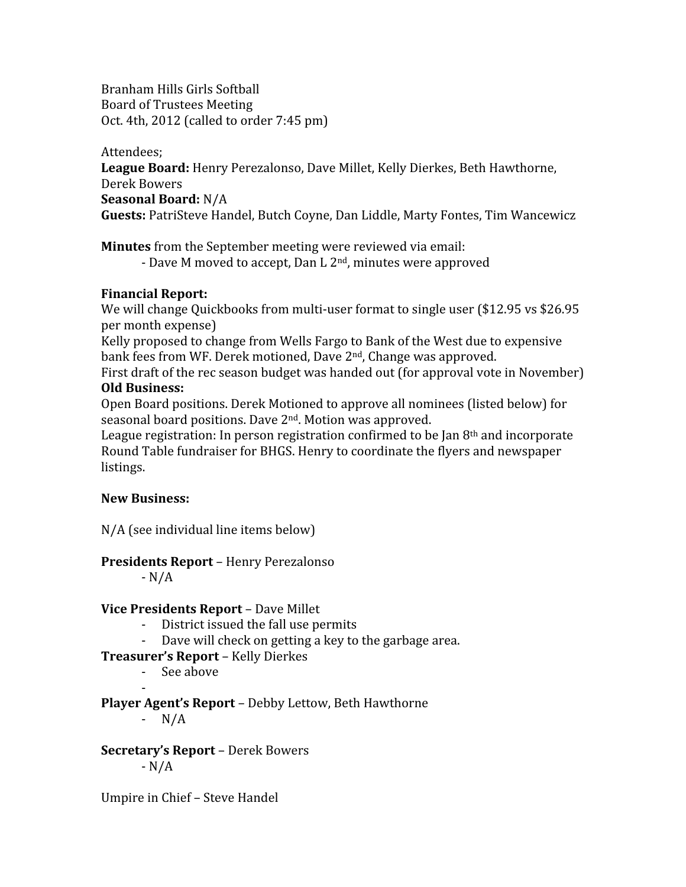Branham
Hills
Girls
Softball Board
of
Trustees
Meeting Oct.
4th,
2012
(called
to
order
7:45
pm)

Attendees; League Board: Henry Perezalonso, Dave Millet, Kelly Dierkes, Beth Hawthorne, Derek
Bowers **Seasonal
Board:** N/A Guests: PatriSteve Handel, Butch Coyne, Dan Liddle, Marty Fontes, Tim Wancewicz

**Minutes** from the September meeting were reviewed via email:

- Dave M moved to accept, Dan L 2<sup>nd</sup>, minutes were approved

## **Financial
Report:**

We will change Quickbooks from multi-user format to single user (\$12.95 vs \$26.95) per
month
expense)

Kelly
proposed
to
change
from
Wells
Fargo
to
Bank
of
the
West
due
to
expensive bank
fees
from
WF.
Derek
motioned,
Dave
2nd,
Change
was
approved.

First draft of the rec season budget was handed out (for approval vote in November) **Old
Business:**

Open
Board
positions.
Derek
Motioned
to
approve
all
nominees
(listed
below)
for seasonal
board
positions.
Dave
2nd.
Motion
was
approved.

League registration: In person registration confirmed to be Jan  $8<sup>th</sup>$  and incorporate Round Table fundraiser for BHGS. Henry to coordinate the flyers and newspaper listings.

## **New
Business:**

N/A
(see
individual
line
items
below)

# **Presidents
Report** – Henry
Perezalonso

‐
N/A

# **Vice
Presidents
Report** – Dave
Millet

- ‐ District
issued
the
fall
use
permits
- Dave will check on getting a key to the garbage area.

# **Treasurer's
Report** – Kelly
Dierkes

‐ See
above

‐ **Player
Agent's
Report** – Debby
Lettow,
Beth
Hawthorne

‐ N/A

**Secretary's
Report** –
Derek
Bowers ‐
N/A

Umpire
in
Chief
–
Steve
Handel